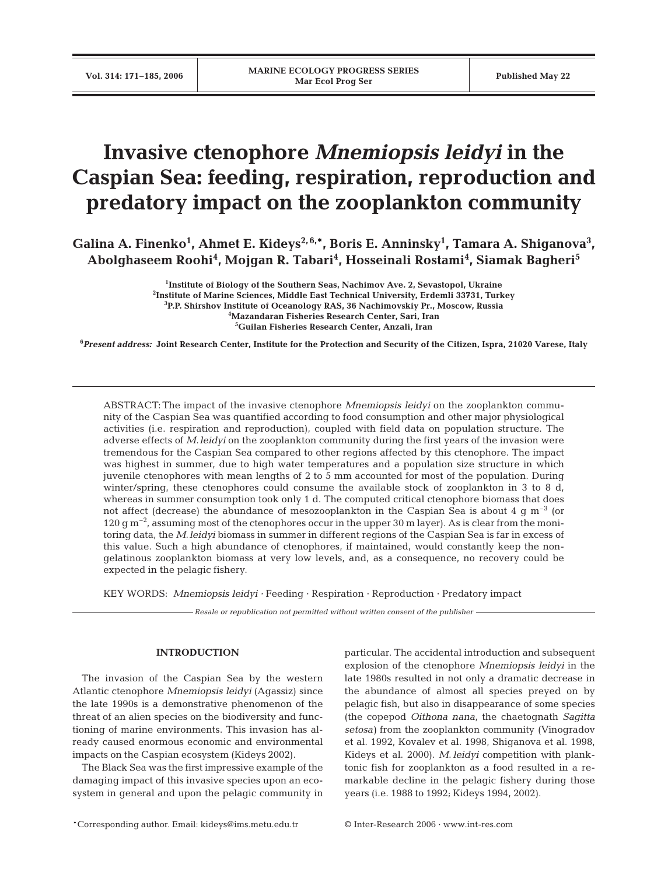# **Invasive ctenophore** *Mnemiopsis leidyi* **in the Caspian Sea: feeding, respiration, reproduction and predatory impact on the zooplankton community**

Galina A. Finenko<sup>1</sup>, Ahmet E. Kideys<sup>2,6,\*</sup>, Boris E. Anninsky<sup>1</sup>, Tamara A. Shiganova<sup>3</sup>, **Abolghaseem Roohi4 , Mojgan R. Tabari4 , Hosseinali Rostami4 , Siamak Bagheri5**

> **Institute of Biology of the Southern Seas, Nachimov Ave. 2, Sevastopol, Ukraine Institute of Marine Sciences, Middle East Technical University, Erdemli 33731, Turkey P.P. Shirshov Institute of Oceanology RAS, 36 Nachimovskiy Pr., Moscow, Russia Mazandaran Fisheries Research Center, Sari, Iran Guilan Fisheries Research Center, Anzali, Iran**

**6** *Present address:* **Joint Research Center, Institute for the Protection and Security of the Citizen, Ispra, 21020 Varese, Italy**

ABSTRACT: The impact of the invasive ctenophore *Mnemiopsis leidyi* on the zooplankton community of the Caspian Sea was quantified according to food consumption and other major physiological activities (i.e. respiration and reproduction), coupled with field data on population structure. The adverse effects of *M.leidyi* on the zooplankton community during the first years of the invasion were tremendous for the Caspian Sea compared to other regions affected by this ctenophore. The impact was highest in summer, due to high water temperatures and a population size structure in which juvenile ctenophores with mean lengths of 2 to 5 mm accounted for most of the population. During winter/spring, these ctenophores could consume the available stock of zooplankton in 3 to 8 d, whereas in summer consumption took only 1 d. The computed critical ctenophore biomass that does not affect (decrease) the abundance of mesozooplankton in the Caspian Sea is about 4  $\alpha$  m<sup>-3</sup> (or 120 g  $\rm m^{-2}$ , assuming most of the ctenophores occur in the upper 30 m layer). As is clear from the monitoring data, the *M.leidyi* biomass in summer in different regions of the Caspian Sea is far in excess of this value. Such a high abundance of ctenophores, if maintained, would constantly keep the nongelatinous zooplankton biomass at very low levels, and, as a consequence, no recovery could be expected in the pelagic fishery.

KEY WORDS: *Mnemiopsis leidyi ·* Feeding · Respiration · Reproduction · Predatory impact

*Resale or republication not permitted without written consent of the publisher*

## **INTRODUCTION**

The invasion of the Caspian Sea by the western Atlantic ctenophore *Mnemiopsis leidyi* (Agassiz) since the late 1990s is a demonstrative phenomenon of the threat of an alien species on the biodiversity and functioning of marine environments. This invasion has already caused enormous economic and environmental impacts on the Caspian ecosystem (Kideys 2002).

The Black Sea was the first impressive example of the damaging impact of this invasive species upon an ecosystem in general and upon the pelagic community in

particular. The accidental introduction and subsequent explosion of the ctenophore *Mnemiopsis leidyi* in the late 1980s resulted in not only a dramatic decrease in the abundance of almost all species preyed on by pelagic fish, but also in disappearance of some species (the copepod *Oithona nana*, the chaetognath *Sagitta setosa)* from the zooplankton community (Vinogradov et al. 1992, Kovalev et al. 1998, Shiganova et al. 1998, Kideys et al. 2000). *M*. *leidyi* competition with planktonic fish for zooplankton as a food resulted in a remarkable decline in the pelagic fishery during those years (i.e. 1988 to 1992; Kideys 1994, 2002).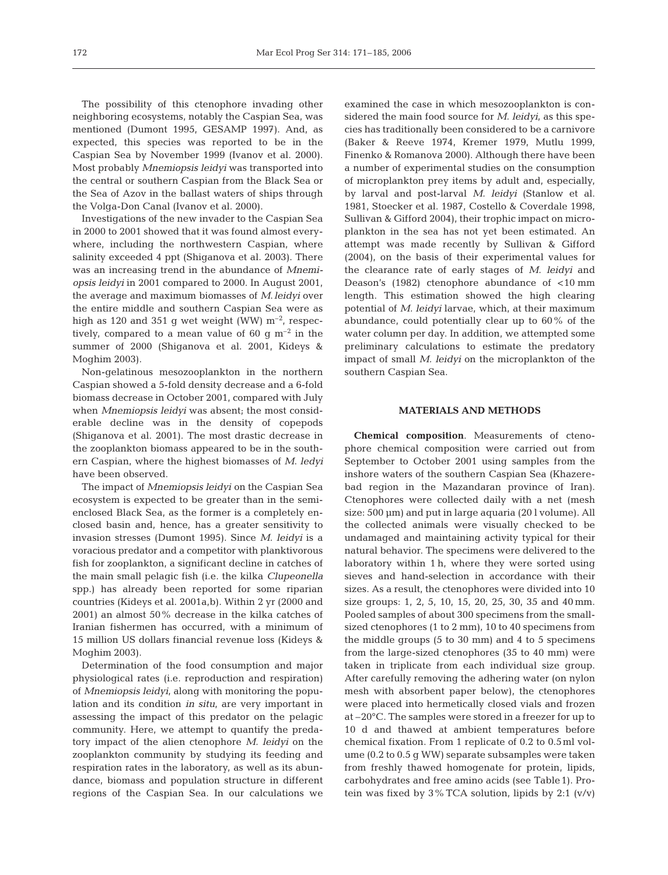The possibility of this ctenophore invading other neighboring ecosystems, notably the Caspian Sea, was mentioned (Dumont 1995, GESAMP 1997). And, as expected, this species was reported to be in the Caspian Sea by November 1999 (Ivanov et al. 2000). Most probably *Mnemiopsis leidyi* was transported into the central or southern Caspian from the Black Sea or the Sea of Azov in the ballast waters of ships through the Volga-Don Canal (Ivanov et al. 2000).

Investigations of the new invader to the Caspian Sea in 2000 to 2001 showed that it was found almost everywhere, including the northwestern Caspian, where salinity exceeded 4 ppt (Shiganova et al. 2003). There was an increasing trend in the abundance of *Mnemiopsis leidyi* in 2001 compared to 2000. In August 2001, the average and maximum biomasses of *M*.*leidyi* over the entire middle and southern Caspian Sea were as high as 120 and 351 g wet weight (WW)  $m^{-2}$ , respectively, compared to a mean value of 60 g  $m^{-2}$  in the summer of 2000 (Shiganova et al. 2001, Kideys & Moghim 2003).

Non-gelatinous mesozooplankton in the northern Caspian showed a 5-fold density decrease and a 6-fold biomass decrease in October 2001, compared with July when *Mnemiopsis leidyi* was absent; the most considerable decline was in the density of copepods (Shiganova et al. 2001). The most drastic decrease in the zooplankton biomass appeared to be in the southern Caspian, where the highest biomasses of *M*. *ledyi* have been observed.

The impact of *Mnemiopsis leidyi* on the Caspian Sea ecosystem is expected to be greater than in the semienclosed Black Sea, as the former is a completely enclosed basin and, hence, has a greater sensitivity to invasion stresses (Dumont 1995). Since *M. leidyi* is a voracious predator and a competitor with planktivorous fish for zooplankton, a significant decline in catches of the main small pelagic fish (i.e. the kilka *Clupeonella* spp.) has already been reported for some riparian countries (Kideys et al. 2001a,b). Within 2 yr (2000 and 2001) an almost 50% decrease in the kilka catches of Iranian fishermen has occurred, with a minimum of 15 million US dollars financial revenue loss (Kideys & Moghim 2003).

Determination of the food consumption and major physiological rates (i.e. reproduction and respiration) of *Mnemiopsis leidyi*, along with monitoring the population and its condition *in situ*, are very important in assessing the impact of this predator on the pelagic community. Here, we attempt to quantify the predatory impact of the alien ctenophore *M. leidyi* on the zooplankton community by studying its feeding and respiration rates in the laboratory, as well as its abundance, biomass and population structure in different regions of the Caspian Sea. In our calculations we examined the case in which mesozooplankton is considered the main food source for *M. leidyi*, as this species has traditionally been considered to be a carnivore (Baker & Reeve 1974, Kremer 1979, Mutlu 1999, Finenko & Romanova 2000). Although there have been a number of experimental studies on the consumption of microplankton prey items by adult and, especially, by larval and post-larval *M. leidyi* (Stanlow et al. 1981, Stoecker et al. 1987, Costello & Coverdale 1998, Sullivan & Gifford 2004), their trophic impact on microplankton in the sea has not yet been estimated. An attempt was made recently by Sullivan & Gifford (2004), on the basis of their experimental values for the clearance rate of early stages of *M. leidyi* and Deason's (1982) ctenophore abundance of <10 mm length. This estimation showed the high clearing potential of *M. leidyi* larvae, which, at their maximum abundance, could potentially clear up to 60% of the water column per day. In addition, we attempted some preliminary calculations to estimate the predatory impact of small *M. leidyi* on the microplankton of the southern Caspian Sea.

### **MATERIALS AND METHODS**

**Chemical composition**. Measurements of ctenophore chemical composition were carried out from September to October 2001 using samples from the inshore waters of the southern Caspian Sea (Khazerebad region in the Mazandaran province of Iran). Ctenophores were collected daily with a net (mesh size: 500 µm) and put in large aquaria (20 l volume). All the collected animals were visually checked to be undamaged and maintaining activity typical for their natural behavior. The specimens were delivered to the laboratory within 1 h, where they were sorted using sieves and hand-selection in accordance with their sizes. As a result, the ctenophores were divided into 10 size groups: 1, 2, 5, 10, 15, 20, 25, 30, 35 and 40 mm. Pooled samples of about 300 specimens from the smallsized ctenophores (1 to 2 mm), 10 to 40 specimens from the middle groups (5 to 30 mm) and 4 to 5 specimens from the large-sized ctenophores (35 to 40 mm) were taken in triplicate from each individual size group. After carefully removing the adhering water (on nylon mesh with absorbent paper below), the ctenophores were placed into hermetically closed vials and frozen at –20°C. The samples were stored in a freezer for up to 10 d and thawed at ambient temperatures before chemical fixation. From 1 replicate of 0.2 to 0.5ml volume (0.2 to 0.5 g WW) separate subsamples were taken from freshly thawed homogenate for protein, lipids, carbohydrates and free amino acids (see Table1). Protein was fixed by  $3\%$  TCA solution, lipids by 2:1 (v/v)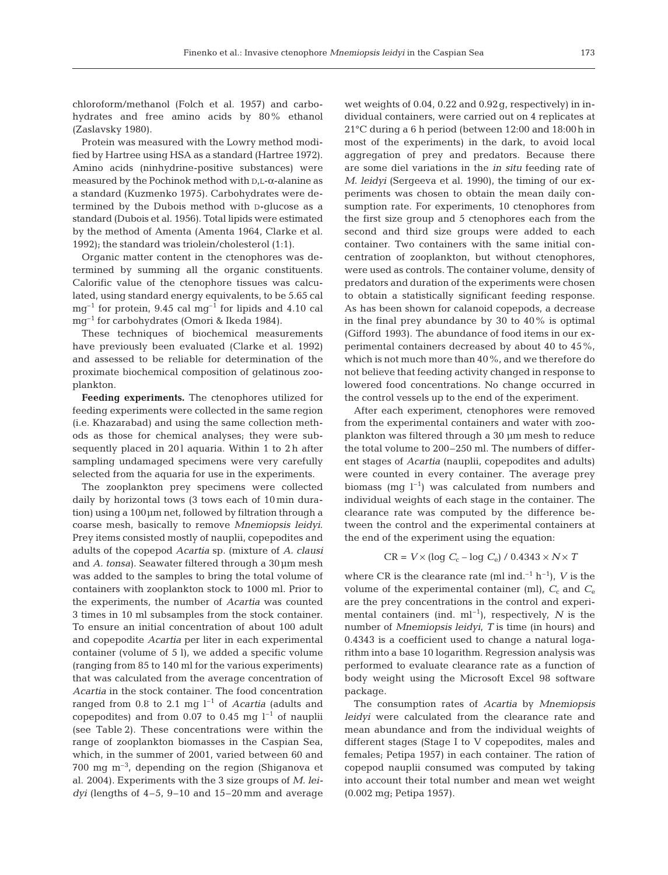chloroform/methanol (Folch et al. 1957) and carbohydrates and free amino acids by 80% ethanol (Zaslavsky 1980).

Protein was measured with the Lowry method modified by Hartree using HSA as a standard (Hartree 1972). Amino acids (ninhydrine-positive substances) were measured by the Pochinok method with D,L-α-alanine as a standard (Kuzmenko 1975). Carbohydrates were determined by the Dubois method with D-glucose as a standard (Dubois et al. 1956). Total lipids were estimated by the method of Amenta (Amenta 1964, Clarke et al. 1992); the standard was triolein/cholesterol (1:1).

Organic matter content in the ctenophores was determined by summing all the organic constituents. Calorific value of the ctenophore tissues was calculated, using standard energy equivalents, to be 5.65 cal  $mg^{-1}$  for protein, 9.45 cal  $mg^{-1}$  for lipids and 4.10 cal mg–1 for carbohydrates (Omori & Ikeda 1984).

These techniques of biochemical measurements have previously been evaluated (Clarke et al. 1992) and assessed to be reliable for determination of the proximate biochemical composition of gelatinous zooplankton.

**Feeding experiments.** The ctenophores utilized for feeding experiments were collected in the same region (i.e. Khazarabad) and using the same collection methods as those for chemical analyses; they were subsequently placed in 201 aquaria. Within 1 to 2h after sampling undamaged specimens were very carefully selected from the aquaria for use in the experiments.

The zooplankton prey specimens were collected daily by horizontal tows (3 tows each of 10 min duration) using a 100µm net, followed by filtration through a coarse mesh, basically to remove *Mnemiopsis leidyi*. Prey items consisted mostly of nauplii, copepodites and adults of the copepod *Acartia* sp. (mixture of *A. clausi* and *A. tonsa*). Seawater filtered through a 30µm mesh was added to the samples to bring the total volume of containers with zooplankton stock to 1000 ml. Prior to the experiments, the number of *Acartia* was counted 3 times in 10 ml subsamples from the stock container. To ensure an initial concentration of about 100 adult and copepodite *Acartia* per liter in each experimental container (volume of 5 l), we added a specific volume (ranging from 85 to 140 ml for the various experiments) that was calculated from the average concentration of *Acartia* in the stock container. The food concentration ranged from 0.8 to 2.1 mg  $l^{-1}$  of *Acartia* (adults and copepodites) and from  $0.07$  to  $0.45$  mg  $l^{-1}$  of nauplii (see Table 2). These concentrations were within the range of zooplankton biomasses in the Caspian Sea, which, in the summer of 2001, varied between 60 and 700 mg m–3, depending on the region (Shiganova et al. 2004). Experiments with the 3 size groups of *M. leidyi* (lengths of 4–5, 9–10 and 15–20 mm and average wet weights of 0.04, 0.22 and 0.92g, respectively) in individual containers, were carried out on 4 replicates at 21°C during a 6 h period (between 12:00 and 18:00h in most of the experiments) in the dark, to avoid local aggregation of prey and predators. Because there are some diel variations in the *in situ* feeding rate of *M. leidyi* (Sergeeva et al. 1990), the timing of our experiments was chosen to obtain the mean daily consumption rate. For experiments, 10 ctenophores from the first size group and 5 ctenophores each from the second and third size groups were added to each container. Two containers with the same initial concentration of zooplankton, but without ctenophores, were used as controls. The container volume, density of predators and duration of the experiments were chosen to obtain a statistically significant feeding response. As has been shown for calanoid copepods, a decrease in the final prey abundance by 30 to 40% is optimal (Gifford 1993). The abundance of food items in our experimental containers decreased by about 40 to 45%, which is not much more than 40%, and we therefore do not believe that feeding activity changed in response to lowered food concentrations. No change occurred in the control vessels up to the end of the experiment.

After each experiment, ctenophores were removed from the experimental containers and water with zooplankton was filtered through a 30 µm mesh to reduce the total volume to 200–250 ml. The numbers of different stages of *Acartia* (nauplii, copepodites and adults) were counted in every container. The average prey biomass (mg  $l^{-1}$ ) was calculated from numbers and individual weights of each stage in the container. The clearance rate was computed by the difference between the control and the experimental containers at the end of the experiment using the equation:

$$
CR = V \times (\log C_c - \log C_e) / 0.4343 \times N \times T
$$

where CR is the clearance rate (ml ind.<sup>-1</sup> h<sup>-1</sup>), *V* is the volume of the experimental container (ml),  $C_c$  and  $C_e$ are the prey concentrations in the control and experimental containers (ind.  $ml^{-1}$ ), respectively, N is the number of *Mnemiopsis leidyi*, *T* is time (in hours) and 0.4343 is a coefficient used to change a natural logarithm into a base 10 logarithm. Regression analysis was performed to evaluate clearance rate as a function of body weight using the Microsoft Excel 98 software package.

The consumption rates of *Acartia* by *Mnemiopsis leidyi* were calculated from the clearance rate and mean abundance and from the individual weights of different stages (Stage I to V copepodites, males and females; Petipa 1957) in each container. The ration of copepod nauplii consumed was computed by taking into account their total number and mean wet weight (0.002 mg; Petipa 1957).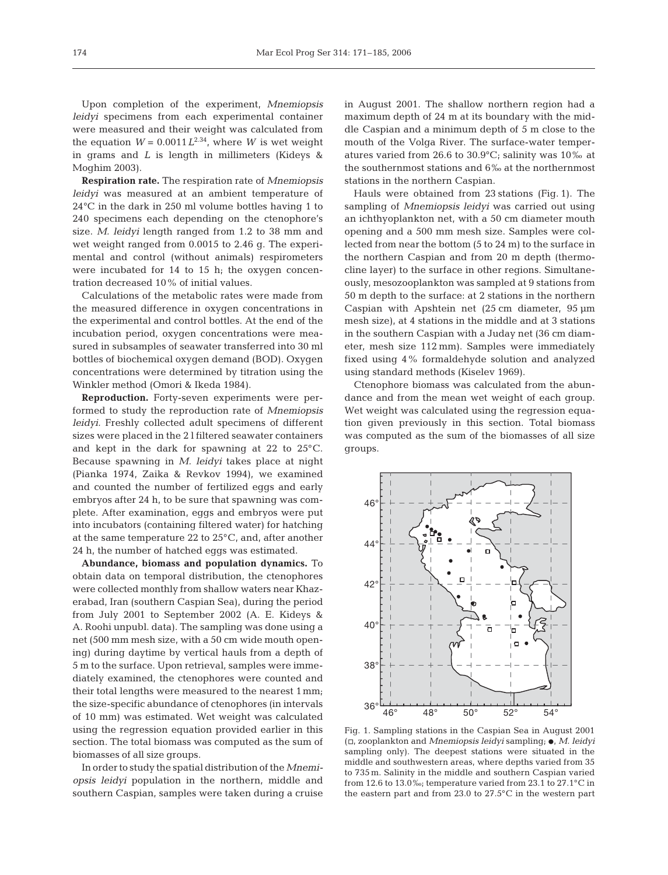Upon completion of the experiment, *Mnemiopsis leidyi* specimens from each experimental container were measured and their weight was calculated from the equation  $W = 0.0011L^{2.34}$ , where *W* is wet weight in grams and *L* is length in millimeters (Kideys & Moghim 2003).

**Respiration rate.** The respiration rate of *Mnemiopsis leidyi* was measured at an ambient temperature of 24°C in the dark in 250 ml volume bottles having 1 to 240 specimens each depending on the ctenophore's size. *M. leidyi* length ranged from 1.2 to 38 mm and wet weight ranged from 0.0015 to 2.46 g. The experimental and control (without animals) respirometers were incubated for 14 to 15 h; the oxygen concentration decreased 10% of initial values.

Calculations of the metabolic rates were made from the measured difference in oxygen concentrations in the experimental and control bottles. At the end of the incubation period, oxygen concentrations were measured in subsamples of seawater transferred into 30 ml bottles of biochemical oxygen demand (BOD). Oxygen concentrations were determined by titration using the Winkler method (Omori & Ikeda 1984).

**Reproduction.** Forty-seven experiments were performed to study the reproduction rate of *Mnemiopsis leidyi.* Freshly collected adult specimens of different sizes were placed in the 2 l filtered seawater containers and kept in the dark for spawning at 22 to 25°C. Because spawning in *M. leidyi* takes place at night (Pianka 1974, Zaika & Revkov 1994), we examined and counted the number of fertilized eggs and early embryos after 24 h, to be sure that spawning was complete. After examination, eggs and embryos were put into incubators (containing filtered water) for hatching at the same temperature 22 to 25°C, and, after another 24 h, the number of hatched eggs was estimated.

**Abundance, biomass and population dynamics.** To obtain data on temporal distribution, the ctenophores were collected monthly from shallow waters near Khazerabad, Iran (southern Caspian Sea), during the period from July 2001 to September 2002 (A. E. Kideys & A. Roohi unpubl. data). The sampling was done using a net (500 mm mesh size, with a 50 cm wide mouth opening) during daytime by vertical hauls from a depth of 5 m to the surface. Upon retrieval, samples were immediately examined, the ctenophores were counted and their total lengths were measured to the nearest 1mm; the size-specific abundance of ctenophores (in intervals of 10 mm) was estimated. Wet weight was calculated using the regression equation provided earlier in this section. The total biomass was computed as the sum of biomasses of all size groups.

In order to study the spatial distribution of the *Mnemiopsis leidyi* population in the northern, middle and southern Caspian, samples were taken during a cruise

in August 2001. The shallow northern region had a maximum depth of 24 m at its boundary with the middle Caspian and a minimum depth of 5 m close to the mouth of the Volga River. The surface-water temperatures varied from 26.6 to 30.9°C; salinity was 10‰ at the southernmost stations and 6‰ at the northernmost stations in the northern Caspian.

Hauls were obtained from 23 stations (Fig. 1). The sampling of *Mnemiopsis leidyi* was carried out using an ichthyoplankton net, with a 50 cm diameter mouth opening and a 500 mm mesh size. Samples were collected from near the bottom (5 to 24 m) to the surface in the northern Caspian and from 20 m depth (thermocline layer) to the surface in other regions. Simultaneously, mesozooplankton was sampled at 9 stations from 50 m depth to the surface: at 2 stations in the northern Caspian with Apshtein net (25 cm diameter, 95 µm mesh size), at 4 stations in the middle and at 3 stations in the southern Caspian with a Juday net (36 cm diameter, mesh size 112 mm). Samples were immediately fixed using 4% formaldehyde solution and analyzed using standard methods (Kiselev 1969).

Ctenophore biomass was calculated from the abundance and from the mean wet weight of each group. Wet weight was calculated using the regression equation given previously in this section. Total biomass was computed as the sum of the biomasses of all size groups.



Fig. 1. Sampling stations in the Caspian Sea in August 2001 (h, zooplankton and *Mnemiopsis leidyi* sampling; D, *M. leidyi* sampling only). The deepest stations were situated in the middle and southwestern areas, where depths varied from 35 to 735 m. Salinity in the middle and southern Caspian varied from 12.6 to 13.0‰; temperature varied from 23.1 to 27.1°C in the eastern part and from 23.0 to 27.5°C in the western part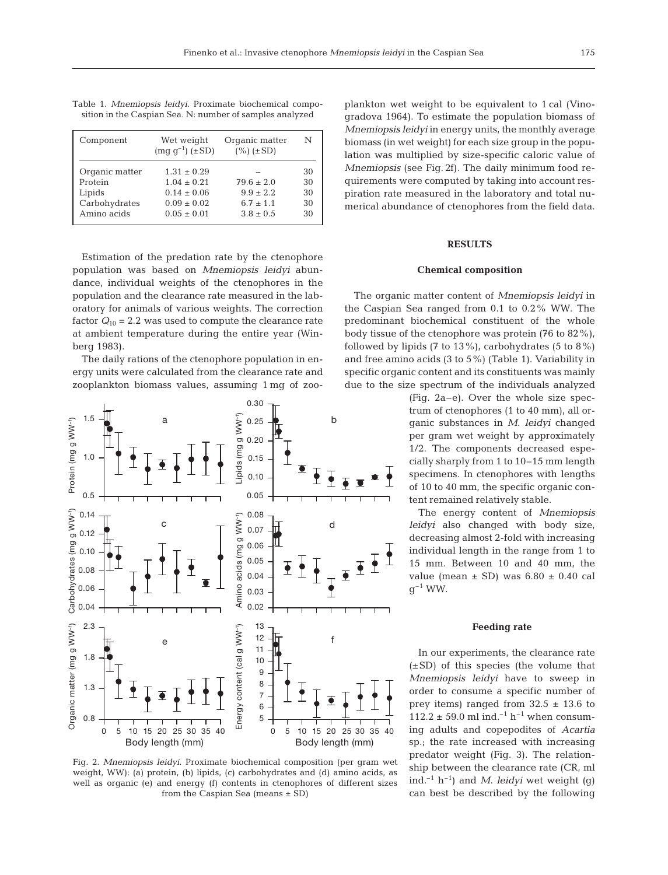| Component                                                           | Wet weight<br>$\text{(mg g}^{-1})$ (±SD)                                                    | Organic matter<br>$(\%)(\pm SD)$                                | N                          |
|---------------------------------------------------------------------|---------------------------------------------------------------------------------------------|-----------------------------------------------------------------|----------------------------|
| Organic matter<br>Protein<br>Lipids<br>Carbohydrates<br>Amino acids | $1.31 \pm 0.29$<br>$1.04 \pm 0.21$<br>$0.14 \pm 0.06$<br>$0.09 \pm 0.02$<br>$0.05 \pm 0.01$ | $79.6 \pm 2.0$<br>$9.9 \pm 2.2$<br>$6.7 + 1.1$<br>$3.8 \pm 0.5$ | 30<br>30<br>30<br>30<br>30 |

Table 1. *Mnemiopsis leidyi*. Proximate biochemical composition in the Caspian Sea. N: number of samples analyzed

Estimation of the predation rate by the ctenophore population was based on *Mnemiopsis leidyi* abundance, individual weights of the ctenophores in the population and the clearance rate measured in the laboratory for animals of various weights. The correction factor  $Q_{10} = 2.2$  was used to compute the clearance rate at ambient temperature during the entire year (Winberg 1983).

The daily rations of the ctenophore population in energy units were calculated from the clearance rate and zooplankton biomass values, assuming 1 mg of zoo-



Fig. 2. *Mnemiopsis leidyi*. Proximate biochemical composition (per gram wet weight, WW): (a) protein, (b) lipids, (c) carbohydrates and (d) amino acids, as well as organic (e) and energy (f) contents in ctenophores of different sizes from the Caspian Sea (means ± SD)

plankton wet weight to be equivalent to 1 cal (Vinogradova 1964). To estimate the population biomass of *Mnemiopsis leidyi* in energy units, the monthly average biomass (in wet weight) for each size group in the population was multiplied by size-specific caloric value of *Mnemiopsis* (see Fig. 2f). The daily minimum food requirements were computed by taking into account respiration rate measured in the laboratory and total numerical abundance of ctenophores from the field data.

## **RESULTS**

#### **Chemical composition**

The organic matter content of *Mnemiopsis leidyi* in the Caspian Sea ranged from 0.1 to 0.2% WW. The predominant biochemical constituent of the whole body tissue of the ctenophore was protein (76 to 82%), followed by lipids  $(7 \text{ to } 13\%)$ , carbohydrates  $(5 \text{ to } 8\%)$ and free amino acids (3 to 5%) (Table 1). Variability in specific organic content and its constituents was mainly due to the size spectrum of the individuals analyzed

> (Fig. 2a–e). Over the whole size spectrum of ctenophores (1 to 40 mm), all organic substances in *M. leidyi* changed per gram wet weight by approximately 1/2. The components decreased especially sharply from 1 to 10–15 mm length specimens. In ctenophores with lengths of 10 to 40 mm, the specific organic content remained relatively stable.

> The energy content of *Mnemiopsis leidyi* also changed with body size, decreasing almost 2-fold with increasing individual length in the range from 1 to 15 mm. Between 10 and 40 mm, the value (mean  $\pm$  SD) was 6.80  $\pm$  0.40 cal  $q^{-1}$  WW.

#### **Feeding rate**

In our experiments, the clearance rate  $(\pm SD)$  of this species (the volume that *Mnemiopsis leidyi* have to sweep in order to consume a specific number of prey items) ranged from  $32.5 \pm 13.6$  to 112.2  $\pm$  59.0 ml ind.<sup>-1</sup> h<sup>-1</sup> when consuming adults and copepodites of *Acartia* sp.; the rate increased with increasing predator weight (Fig. 3). The relationship between the clearance rate (CR, ml ind.<sup>-1</sup> h<sup>-1</sup>) and *M. leidyi* wet weight (g) can best be described by the following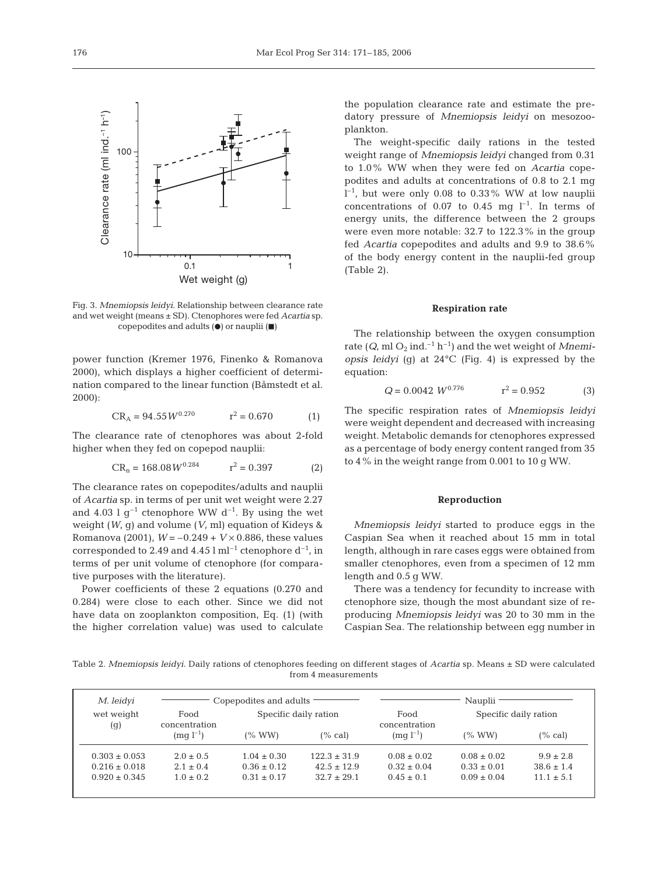Fig. 3. *Mnemiopsis leidyi*. Relationship between clearance rate and wet weight (means ± SD). Ctenophores were fed *Acartia* sp. copepodites and adults  $($ **e**) or nauplii  $($  $\blacksquare)$ 

power function (Kremer 1976, Finenko & Romanova 2000), which displays a higher coefficient of determination compared to the linear function (Båmstedt et al. 2000):

$$
CR_A = 94.55 W^{0.270} \t r^2 = 0.670 \t (1)
$$

The clearance rate of ctenophores was about 2-fold higher when they fed on copepod nauplii:

$$
CR_n = 168.08 W^{0.284} \qquad r^2 = 0.397 \tag{2}
$$

The clearance rates on copepodites/adults and nauplii of *Acartia* sp. in terms of per unit wet weight were 2.27 and 4.03 l  $g^{-1}$  ctenophore WW  $d^{-1}$ . By using the wet weight (*W*, g) and volume (*V*, ml) equation of Kideys & Romanova (2001),  $W = -0.249 + V \times 0.886$ , these values corresponded to 2.49 and 4.45 l ml<sup>-1</sup> ctenophore  $d^{-1}$ , in terms of per unit volume of ctenophore (for comparative purposes with the literature).

Power coefficients of these 2 equations (0.270 and 0.284) were close to each other. Since we did not have data on zooplankton composition, Eq. (1) (with the higher correlation value) was used to calculate

the population clearance rate and estimate the predatory pressure of *Mnemiopsis leidyi* on mesozooplankton.

The weight-specific daily rations in the tested weight range of *Mnemiopsis leidyi* changed from 0.31 to 1.0% WW when they were fed on *Acartia* copepodites and adults at concentrations of 0.8 to 2.1 mg  $l^{-1}$ , but were only 0.08 to 0.33% WW at low nauplii concentrations of 0.07 to 0.45 mg  $l^{-1}$ . In terms of energy units, the difference between the 2 groups were even more notable: 32.7 to 122.3% in the group fed *Acartia* copepodites and adults and 9.9 to 38.6% of the body energy content in the nauplii-fed group (Table 2).

#### **Respiration rate**

The relationship between the oxygen consumption rate  $(Q, ml O_2 ind.<sup>-1</sup> h<sup>-1</sup>)$  and the wet weight of *Mnemiopsis leidyi* (g) at 24°C (Fig. 4) is expressed by the equation:

$$
Q = 0.0042 \ W^{0.776} \qquad \qquad r^2 = 0.952 \tag{3}
$$

The specific respiration rates of *Mnemiopsis leidyi* were weight dependent and decreased with increasing weight. Metabolic demands for ctenophores expressed as a percentage of body energy content ranged from 35 to 4% in the weight range from 0.001 to 10 g WW.

#### **Reproduction**

*Mnemiopsis leidyi* started to produce eggs in the Caspian Sea when it reached about 15 mm in total length, although in rare cases eggs were obtained from smaller ctenophores, even from a specimen of 12 mm length and 0.5 g WW.

There was a tendency for fecundity to increase with ctenophore size, though the most abundant size of reproducing *Mnemiopsis leidyi* was 20 to 30 mm in the Caspian Sea. The relationship between egg number in

Table 2. *Mnemiopsis leidyi*. Daily rations of ctenophores feeding on different stages of *Acartia* sp. Means ± SD were calculated from 4 measurements

| M. leidyi         |                      | Copepodites and adults |                 | Nauplii         |                       |                |  |  |
|-------------------|----------------------|------------------------|-----------------|-----------------|-----------------------|----------------|--|--|
| wet weight        | Food                 | Specific daily ration  |                 | Food            | Specific daily ration |                |  |  |
|                   | concentration<br>(g) |                        |                 | concentration   |                       |                |  |  |
|                   | $(mq l^{-1})$        | (% WW)                 | (% cal)         | $(mq l^{-1})$   | (% WW)                | $(\%$ cal)     |  |  |
| $0.303 \pm 0.053$ | $2.0 \pm 0.5$        | $1.04 \pm 0.30$        | $122.3 + 31.9$  | $0.08 \pm 0.02$ | $0.08 \pm 0.02$       | $9.9 \pm 2.8$  |  |  |
| $0.216 \pm 0.018$ | $2.1 \pm 0.4$        | $0.36 \pm 0.12$        | $42.5 \pm 12.9$ | $0.32 \pm 0.04$ | $0.33 \pm 0.01$       | $38.6 \pm 1.4$ |  |  |
| $0.920 \pm 0.345$ | $1.0 + 0.2$          | $0.31 \pm 0.17$        | $32.7 + 29.1$   | $0.45 \pm 0.1$  | $0.09 \pm 0.04$       | $11.1 \pm 5.1$ |  |  |
|                   |                      |                        |                 |                 |                       |                |  |  |

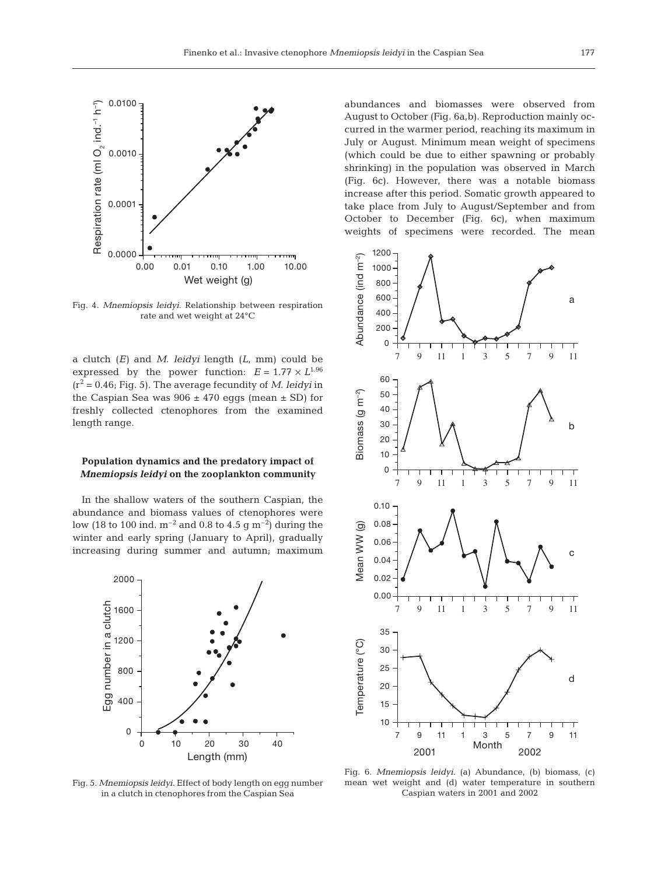

Fig. 4. *Mnemiopsis leidyi*. Relationship between respiration rate and wet weight at 24°C

a clutch (*E)* and *M. leidyi* length (*L*, mm) could be expressed by the power function:  $E = 1.77 \times L^{1.96}$  $(r^2 = 0.46;$  Fig. 5). The average fecundity of *M. leidyi* in the Caspian Sea was  $906 \pm 470$  eggs (mean  $\pm$  SD) for freshly collected ctenophores from the examined length range.

## **Population dynamics and the predatory impact of** *Mnemiopsis leidyi* **on the zooplankton community**

In the shallow waters of the southern Caspian, the abundance and biomass values of ctenophores were low (18 to 100 ind.  $m^{-2}$  and 0.8 to 4.5 g  $m^{-2}$ ) during the winter and early spring (January to April), gradually increasing during summer and autumn; maximum



Fig. 5. *Mnemiopsis leidyi*. Effect of body length on egg number in a clutch in ctenophores from the Caspian Sea

abundances and biomasses were observed from August to October (Fig. 6a,b). Reproduction mainly occurred in the warmer period, reaching its maximum in July or August. Minimum mean weight of specimens (which could be due to either spawning or probably shrinking) in the population was observed in March (Fig. 6c). However, there was a notable biomass increase after this period. Somatic growth appeared to take place from July to August/September and from October to December (Fig. 6c), when maximum weights of specimens were recorded. The mean



Fig. 6. *Mnemiopsis leidyi*. (a) Abundance, (b) biomass, (c) mean wet weight and (d) water temperature in southern Caspian waters in 2001 and 2002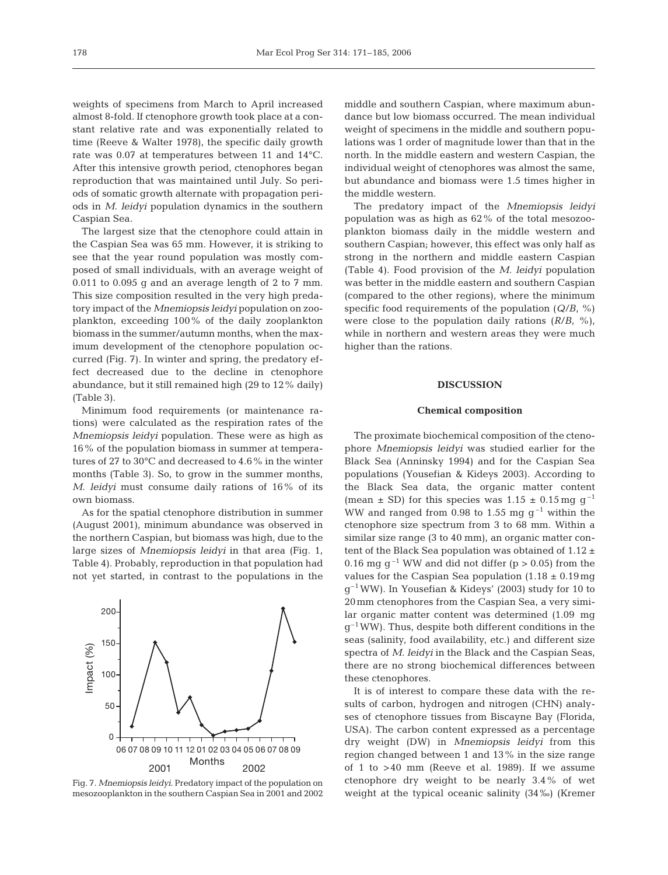weights of specimens from March to April increased almost 8-fold. If ctenophore growth took place at a constant relative rate and was exponentially related to time (Reeve & Walter 1978), the specific daily growth rate was 0.07 at temperatures between 11 and 14°C. After this intensive growth period, ctenophores began reproduction that was maintained until July. So periods of somatic growth alternate with propagation periods in *M. leidyi* population dynamics in the southern Caspian Sea.

The largest size that the ctenophore could attain in the Caspian Sea was 65 mm. However, it is striking to see that the year round population was mostly composed of small individuals, with an average weight of 0.011 to 0.095 g and an average length of 2 to 7 mm. This size composition resulted in the very high predatory impact of the *Mnemiopsis leidyi* population on zooplankton, exceeding 100% of the daily zooplankton biomass in the summer/autumn months, when the maximum development of the ctenophore population occurred (Fig. 7). In winter and spring, the predatory effect decreased due to the decline in ctenophore abundance, but it still remained high (29 to 12% daily) (Table 3).

Minimum food requirements (or maintenance rations) were calculated as the respiration rates of the *Mnemiopsis leidyi* population. These were as high as 16% of the population biomass in summer at temperatures of 27 to 30°C and decreased to 4.6% in the winter months (Table 3). So, to grow in the summer months, *M. leidyi* must consume daily rations of 16% of its own biomass.

As for the spatial ctenophore distribution in summer (August 2001), minimum abundance was observed in the northern Caspian, but biomass was high, due to the large sizes of *Mnemiopsis leidyi* in that area (Fig. 1, Table 4). Probably, reproduction in that population had not yet started, in contrast to the populations in the



Fig. 7. *Mnemiopsis leidyi*. Predatory impact of the population on mesozooplankton in the southern Caspian Sea in 2001 and 2002

middle and southern Caspian, where maximum abundance but low biomass occurred. The mean individual weight of specimens in the middle and southern populations was 1 order of magnitude lower than that in the north. In the middle eastern and western Caspian, the individual weight of ctenophores was almost the same, but abundance and biomass were 1.5 times higher in the middle western.

The predatory impact of the *Mnemiopsis leidyi* population was as high as 62% of the total mesozooplankton biomass daily in the middle western and southern Caspian; however, this effect was only half as strong in the northern and middle eastern Caspian (Table 4). Food provision of the *M. leidyi* population was better in the middle eastern and southern Caspian (compared to the other regions), where the minimum specific food requirements of the population (*Q*/*B*, %) were close to the population daily rations  $(R/B, %)$ , while in northern and western areas they were much higher than the rations.

#### **DISCUSSION**

#### **Chemical composition**

The proximate biochemical composition of the ctenophore *Mnemiopsis leidyi* was studied earlier for the Black Sea (Anninsky 1994) and for the Caspian Sea populations (Yousefian & Kideys 2003). According to the Black Sea data, the organic matter content (mean  $\pm$  SD) for this species was 1.15  $\pm$  0.15 mg g<sup>-1</sup> WW and ranged from 0.98 to 1.55 mg  $g^{-1}$  within the ctenophore size spectrum from 3 to 68 mm. Within a similar size range (3 to 40 mm), an organic matter content of the Black Sea population was obtained of  $1.12 \pm$ 0.16 mg  $q^{-1}$  WW and did not differ (p  $> 0.05$ ) from the values for the Caspian Sea population  $(1.18 \pm 0.19 \text{mg})$  $q^{-1}$ WW). In Yousefian & Kideys' (2003) study for 10 to 20mm ctenophores from the Caspian Sea, a very similar organic matter content was determined (1.09 mg  $q^{-1}$ WW). Thus, despite both different conditions in the seas (salinity, food availability, etc.) and different size spectra of *M. leidyi* in the Black and the Caspian Seas, there are no strong biochemical differences between these ctenophores.

It is of interest to compare these data with the results of carbon, hydrogen and nitrogen (CHN) analyses of ctenophore tissues from Biscayne Bay (Florida, USA). The carbon content expressed as a percentage dry weight (DW) in *Mnemiopsis leidyi* from this region changed between 1 and 13% in the size range of 1 to >40 mm (Reeve et al. 1989). If we assume ctenophore dry weight to be nearly 3.4% of wet weight at the typical oceanic salinity (34‰) (Kremer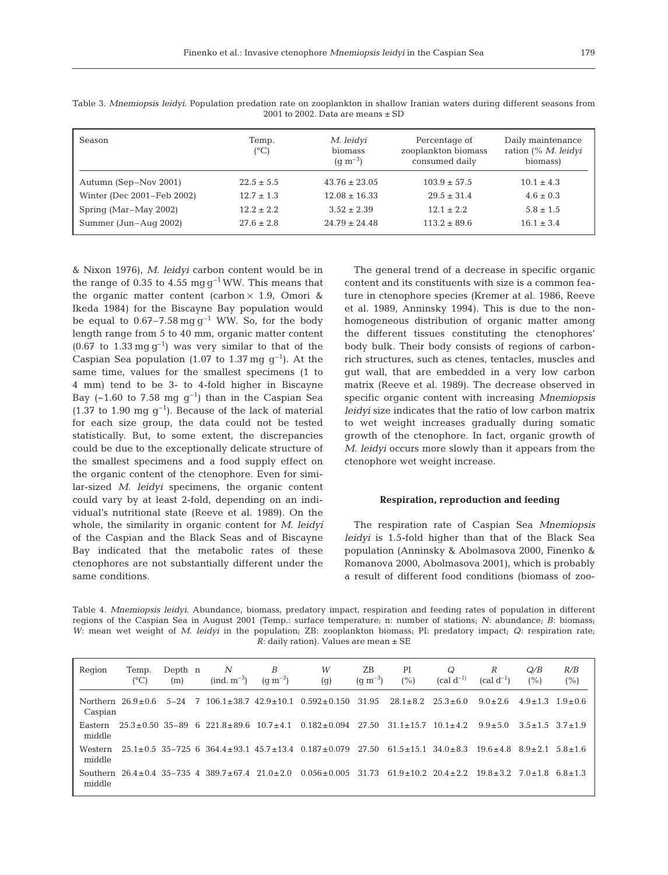| able 3. <i>Mnemiopsis leidyl</i> . Population predation rate on zooplankton in shallow Iranian waters during different seasons from<br>2001 to 2002. Data are means $\pm$ SD |                        |                        |                                      |                                          |  |  |  |  |  |
|------------------------------------------------------------------------------------------------------------------------------------------------------------------------------|------------------------|------------------------|--------------------------------------|------------------------------------------|--|--|--|--|--|
| Season                                                                                                                                                                       | Temp.<br>$(^{\circ}C)$ | M. leidyi<br>biomass   | Percentage of<br>zooplankton biomass | Daily maintenance<br>ration (% M. leidyi |  |  |  |  |  |
|                                                                                                                                                                              |                        | $(q \, \text{m}^{-3})$ | consumed daily                       | biomass)                                 |  |  |  |  |  |

| Table 3. Mnemiopsis leidyi. Population predation rate on zooplankton in shallow Iranian waters during different seasons from |                                       |  |  |  |  |
|------------------------------------------------------------------------------------------------------------------------------|---------------------------------------|--|--|--|--|
|                                                                                                                              | 2001 to 2002. Data are means $\pm$ SD |  |  |  |  |

Autumn (Sep–Nov 2001) 22.5  $\pm$  5.5 43.76  $\pm$  23.05 103.9  $\pm$  57.5 10.1  $\pm$  4.3 Winter (Dec 2001–Feb 2002)  $12.7 \pm 1.3$   $12.08 \pm 16.33$   $29.5 \pm 31.4$   $4.6 \pm 0.3$ Spring (Mar–May 2002) 12.2  $\pm$  2.2 3.52  $\pm$  2.39 12.1  $\pm$  2.2 5.8  $\pm$  1.5 Summer (Jun–Aug 2002) 27.6 ± 2.8 24.79 ± 24.48 113.2 ± 89.6 16.1 ± 3.4

& Nixon 1976), *M. leidyi* carbon content would be in the range of 0.35 to 4.55 mg  $g^{-1}$  WW. This means that the organic matter content (carbon  $\times$  1.9, Omori & Ikeda 1984) for the Biscayne Bay population would be equal to  $0.67-7.58 \text{ mg g}^{-1}$  WW. So, for the body length range from 5 to 40 mm, organic matter content (0.67 to  $1.33 \text{ mg g}^{-1}$ ) was very similar to that of the Caspian Sea population (1.07 to 1.37 mg  $g^{-1}$ ). At the same time, values for the smallest specimens (1 to 4 mm) tend to be 3- to 4-fold higher in Biscayne Bay (~1.60 to 7.58 mg  $g^{-1}$ ) than in the Caspian Sea  $(1.37 \text{ to } 1.90 \text{ mg } q^{-1})$ . Because of the lack of material for each size group, the data could not be tested statistically. But, to some extent, the discrepancies could be due to the exceptionally delicate structure of the smallest specimens and a food supply effect on the organic content of the ctenophore. Even for similar-sized *M. leidyi* specimens, the organic content could vary by at least 2-fold, depending on an individual's nutritional state (Reeve et al. 1989). On the whole, the similarity in organic content for *M. leidyi* of the Caspian and the Black Seas and of Biscayne Bay indicated that the metabolic rates of these ctenophores are not substantially different under the same conditions.

The general trend of a decrease in specific organic content and its constituents with size is a common feature in ctenophore species (Kremer at al. 1986, Reeve et al. 1989, Anninsky 1994). This is due to the nonhomogeneous distribution of organic matter among the different tissues constituting the ctenophores' body bulk. Their body consists of regions of carbonrich structures, such as ctenes, tentacles, muscles and gut wall, that are embedded in a very low carbon matrix (Reeve et al. 1989). The decrease observed in specific organic content with increasing *Mnemiopsis leidyi* size indicates that the ratio of low carbon matrix to wet weight increases gradually during somatic growth of the ctenophore. In fact, organic growth of *M. leidyi* occurs more slowly than it appears from the ctenophore wet weight increase.

#### **Respiration, reproduction and feeding**

The respiration rate of Caspian Sea *Mnemiopsis leidyi* is 1.5-fold higher than that of the Black Sea population (Anninsky & Abolmasova 2000, Finenko & Romanova 2000, Abolmasova 2001), which is probably a result of different food conditions (biomass of zoo-

Table 4. *Mnemiopsis leidyi*. Abundance, biomass, predatory impact, respiration and feeding rates of population in different regions of the Caspian Sea in August 2001 (Temp.: surface temperature; n: number of stations; *N*: abundance; *B*: biomass; *W*: mean wet weight of *M. leidyi* in the population; ZB: zooplankton biomass; PI: predatory impact; *Q*: respiration rate; *R*: daily ration). Values are mean ± SE

| Region             | Temp.<br>$(^{\circ}C)$ | Depth n<br>(m) |    | N<br>$(ind. m^{-3})$                                    | B<br>$(q \, \text{m}^{-3})$ | W<br>(g)                                                                   | ZB<br>$(g m^{-3})$ | PI<br>(%)                  | Q<br>$\text{cal } d^{-1}$ | R<br>$(cal d^{-1})$                  | Q/B<br>(%)          | R/B<br>(%) |
|--------------------|------------------------|----------------|----|---------------------------------------------------------|-----------------------------|----------------------------------------------------------------------------|--------------------|----------------------------|---------------------------|--------------------------------------|---------------------|------------|
| Caspian            | Northern $26.9+0.6$    | $5 - 24$       | -7 |                                                         |                             | $106.1 \pm 38.7$ $42.9 \pm 10.1$ $0.592 \pm 0.150$                         | 31.95              | $28.1 + 8.2$               | $25.3 + 6.0$              | $9.0 + 2.6$                          | $4.9+1.3$ $1.9+0.6$ |            |
| Eastern<br>middle  |                        |                |    | $25.3 \pm 0.50$ 35-89 6 221.8 $\pm$ 89.6 10.7 $\pm$ 4.1 |                             | $0.182 \pm 0.094$                                                          | 27.50              | $31.1 + 15.7$              | $10.1 + 4.2$              | $9.9 + 5.0$                          | $3.5+1.5$ $3.7+1.9$ |            |
| Western<br>middle  |                        |                |    |                                                         |                             | $25.1 \pm 0.5$ 35-725 6 364.4 $\pm$ 93.1 45.7 $\pm$ 13.4 0.187 $\pm$ 0.079 | 27.50              | $61.5 + 15.1$ $34.0 + 8.3$ |                           | $19.6 + 4.8$ $8.9 + 2.1$ $5.8 + 1.6$ |                     |            |
| Southern<br>middle |                        |                |    | $26.4+0.4$ 35-735 4 389.7+67.4 21.0+2.0                 |                             | $0.056 \pm 0.005$                                                          | 31.73              | $61.9 + 10.2$ $20.4 + 2.2$ |                           | $19.8 + 3.2$                         | $7.0+1.8$ 6.8+1.3   |            |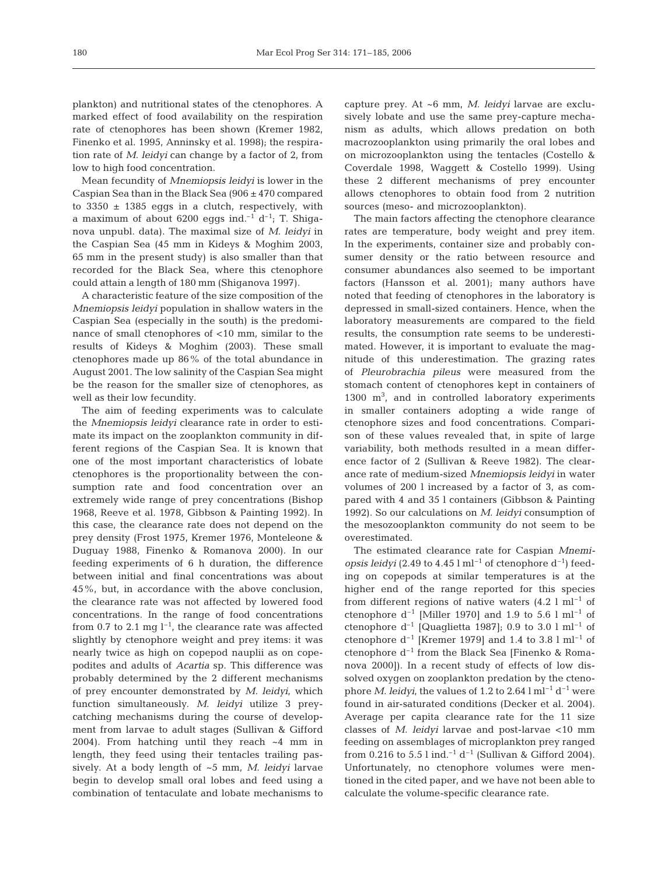plankton) and nutritional states of the ctenophores. A marked effect of food availability on the respiration rate of ctenophores has been shown (Kremer 1982, Finenko et al. 1995, Anninsky et al. 1998); the respiration rate of *M. leidyi* can change by a factor of 2, from low to high food concentration.

Mean fecundity of *Mnemiopsis leidyi* is lower in the Caspian Sea than in the Black Sea (906 ± 470 compared to  $3350 \pm 1385$  eggs in a clutch, respectively, with a maximum of about 6200 eggs ind.<sup>-1</sup> d<sup>-1</sup>; T. Shiganova unpubl. data). The maximal size of *M. leidyi* in the Caspian Sea (45 mm in Kideys & Moghim 2003, 65 mm in the present study) is also smaller than that recorded for the Black Sea, where this ctenophore could attain a length of 180 mm (Shiganova 1997).

A characteristic feature of the size composition of the *Mnemiopsis leidyi* population in shallow waters in the Caspian Sea (especially in the south) is the predominance of small ctenophores of <10 mm, similar to the results of Kideys & Moghim (2003). These small ctenophores made up 86% of the total abundance in August 2001. The low salinity of the Caspian Sea might be the reason for the smaller size of ctenophores, as well as their low fecundity.

The aim of feeding experiments was to calculate the *Mnemiopsis leidyi* clearance rate in order to estimate its impact on the zooplankton community in different regions of the Caspian Sea. It is known that one of the most important characteristics of lobate ctenophores is the proportionality between the consumption rate and food concentration over an extremely wide range of prey concentrations (Bishop 1968, Reeve et al. 1978, Gibbson & Painting 1992). In this case, the clearance rate does not depend on the prey density (Frost 1975, Kremer 1976, Monteleone & Duguay 1988, Finenko & Romanova 2000). In our feeding experiments of 6 h duration, the difference between initial and final concentrations was about 45%, but, in accordance with the above conclusion, the clearance rate was not affected by lowered food concentrations. In the range of food concentrations from 0.7 to 2.1 mg  $l^{-1}$ , the clearance rate was affected slightly by ctenophore weight and prey items: it was nearly twice as high on copepod nauplii as on copepodites and adults of *Acartia* sp. This difference was probably determined by the 2 different mechanisms of prey encounter demonstrated by *M. leidyi*, which function simultaneously. *M. leidyi* utilize 3 preycatching mechanisms during the course of development from larvae to adult stages (Sullivan & Gifford 2004). From hatching until they reach ~4 mm in length, they feed using their tentacles trailing passively. At a body length of ~5 mm, *M. leidyi* larvae begin to develop small oral lobes and feed using a combination of tentaculate and lobate mechanisms to

capture prey. At ~6 mm, *M. leidyi* larvae are exclusively lobate and use the same prey-capture mechanism as adults, which allows predation on both macrozooplankton using primarily the oral lobes and on microzooplankton using the tentacles (Costello & Coverdale 1998, Waggett & Costello 1999). Using these 2 different mechanisms of prey encounter allows ctenophores to obtain food from 2 nutrition sources (meso- and microzooplankton).

The main factors affecting the ctenophore clearance rates are temperature, body weight and prey item. In the experiments, container size and probably consumer density or the ratio between resource and consumer abundances also seemed to be important factors (Hansson et al. 2001); many authors have noted that feeding of ctenophores in the laboratory is depressed in small-sized containers. Hence, when the laboratory measurements are compared to the field results, the consumption rate seems to be underestimated. However, it is important to evaluate the magnitude of this underestimation. The grazing rates of *Pleurobrachia pileus* were measured from the stomach content of ctenophores kept in containers of 1300 m3 , and in controlled laboratory experiments in smaller containers adopting a wide range of ctenophore sizes and food concentrations. Comparison of these values revealed that, in spite of large variability, both methods resulted in a mean difference factor of 2 (Sullivan & Reeve 1982). The clearance rate of medium-sized *Mnemiopsis leidyi* in water volumes of 200 l increased by a factor of 3, as compared with 4 and 35 l containers (Gibbson & Painting 1992). So our calculations on *M. leidyi* consumption of the mesozooplankton community do not seem to be overestimated.

The estimated clearance rate for Caspian *Mnemiopsis leidyi* (2.49 to 4.45  $\mathrm{I} \mathrm{m}^{-1}$  of ctenophore  $d^{-1}$ ) feeding on copepods at similar temperatures is at the higher end of the range reported for this species from different regions of native waters  $(4.2 \text{ l m}]^{-1}$  of ctenophore  $d^{-1}$  [Miller 1970] and 1.9 to 5.6 l ml<sup>-1</sup> of ctenophore  $d^{-1}$  [Quaglietta 1987]; 0.9 to 3.0 l ml<sup>-1</sup> of ctenophore  $d^{-1}$  [Kremer 1979] and 1.4 to 3.8 l ml<sup>-1</sup> of ctenophore  $d^{-1}$  from the Black Sea [Finenko & Romanova 2000]). In a recent study of effects of low dissolved oxygen on zooplankton predation by the ctenophore *M. leidyi*, the values of  $1.2$  to  $2.64$  l ml<sup>-1</sup> d<sup>-1</sup> were found in air-saturated conditions (Decker et al. 2004). Average per capita clearance rate for the 11 size classes of *M. leidyi* larvae and post-larvae <10 mm feeding on assemblages of microplankton prey ranged from 0.216 to 5.5 l ind.<sup>-1</sup> d<sup>-1</sup> (Sullivan & Gifford 2004). Unfortunately, no ctenophore volumes were mentioned in the cited paper, and we have not been able to calculate the volume-specific clearance rate.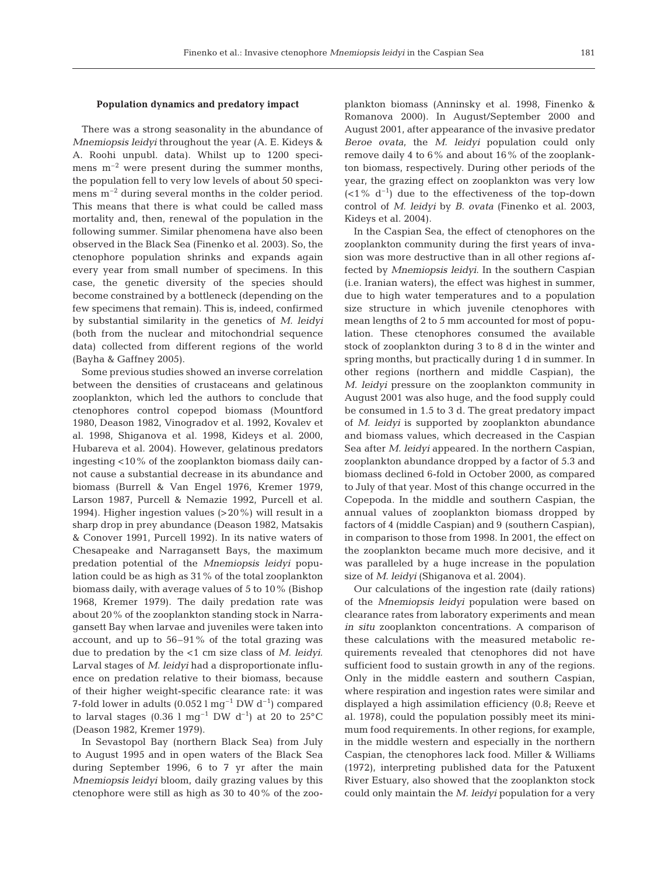#### **Population dynamics and predatory impact**

There was a strong seasonality in the abundance of *Mnemiopsis leidyi* throughout the year (A. E. Kideys & A. Roohi unpubl. data). Whilst up to 1200 specimens  $m^{-2}$  were present during the summer months, the population fell to very low levels of about 50 specimens  $m^{-2}$  during several months in the colder period. This means that there is what could be called mass mortality and, then, renewal of the population in the following summer. Similar phenomena have also been observed in the Black Sea (Finenko et al. 2003). So, the ctenophore population shrinks and expands again every year from small number of specimens. In this case, the genetic diversity of the species should become constrained by a bottleneck (depending on the few specimens that remain). This is, indeed, confirmed by substantial similarity in the genetics of *M. leidyi* (both from the nuclear and mitochondrial sequence data) collected from different regions of the world (Bayha & Gaffney 2005).

Some previous studies showed an inverse correlation between the densities of crustaceans and gelatinous zooplankton, which led the authors to conclude that ctenophores control copepod biomass (Mountford 1980, Deason 1982, Vinogradov et al. 1992, Kovalev et al. 1998, Shiganova et al. 1998, Kideys et al. 2000, Hubareva et al. 2004). However, gelatinous predators ingesting <10% of the zooplankton biomass daily cannot cause a substantial decrease in its abundance and biomass (Burrell & Van Engel 1976, Kremer 1979, Larson 1987, Purcell & Nemazie 1992, Purcell et al. 1994). Higher ingestion values (>20%) will result in a sharp drop in prey abundance (Deason 1982, Matsakis & Conover 1991, Purcell 1992). In its native waters of Chesapeake and Narragansett Bays, the maximum predation potential of the *Mnemiopsis leidyi* population could be as high as 31% of the total zooplankton biomass daily, with average values of 5 to 10% (Bishop 1968, Kremer 1979). The daily predation rate was about 20% of the zooplankton standing stock in Narragansett Bay when larvae and juveniles were taken into account, and up to 56–91% of the total grazing was due to predation by the <1 cm size class of *M. leidyi*. Larval stages of *M. leidyi* had a disproportionate influence on predation relative to their biomass, because of their higher weight-specific clearance rate: it was 7-fold lower in adults (0.052 l mg<sup>-1</sup> DW  $d^{-1}$ ) compared to larval stages (0.36 l mg<sup>-1</sup> DW d<sup>-1</sup>) at 20 to 25 $^{\circ}$ C (Deason 1982, Kremer 1979).

In Sevastopol Bay (northern Black Sea) from July to August 1995 and in open waters of the Black Sea during September 1996, 6 to 7 yr after the main *Mnemiopsis leidyi* bloom, daily grazing values by this ctenophore were still as high as 30 to 40% of the zooplankton biomass (Anninsky et al. 1998, Finenko & Romanova 2000). In August/September 2000 and August 2001, after appearance of the invasive predator *Beroe ovata*, the *M. leidyi* population could only remove daily 4 to 6% and about 16% of the zooplankton biomass, respectively. During other periods of the year, the grazing effect on zooplankton was very low  $( $1\%$  d<sup>-1</sup>) due to the effectiveness of the top-down$ control of *M. leidyi* by *B. ovata* (Finenko et al. 2003, Kideys et al. 2004).

In the Caspian Sea, the effect of ctenophores on the zooplankton community during the first years of invasion was more destructive than in all other regions affected by *Mnemiopsis leidyi*. In the southern Caspian (i.e. Iranian waters), the effect was highest in summer, due to high water temperatures and to a population size structure in which juvenile ctenophores with mean lengths of 2 to 5 mm accounted for most of population. These ctenophores consumed the available stock of zooplankton during 3 to 8 d in the winter and spring months, but practically during 1 d in summer. In other regions (northern and middle Caspian), the *M. leidyi* pressure on the zooplankton community in August 2001 was also huge, and the food supply could be consumed in 1.5 to 3 d. The great predatory impact of *M. leidyi* is supported by zooplankton abundance and biomass values, which decreased in the Caspian Sea after *M. leidyi* appeared. In the northern Caspian, zooplankton abundance dropped by a factor of 5.3 and biomass declined 6-fold in October 2000, as compared to July of that year. Most of this change occurred in the Copepoda. In the middle and southern Caspian, the annual values of zooplankton biomass dropped by factors of 4 (middle Caspian) and 9 (southern Caspian), in comparison to those from 1998. In 2001, the effect on the zooplankton became much more decisive, and it was paralleled by a huge increase in the population size of *M. leidyi* (Shiganova et al. 2004).

Our calculations of the ingestion rate (daily rations) of the *Mnemiopsis leidyi* population were based on clearance rates from laboratory experiments and mean *in situ* zooplankton concentrations. A comparison of these calculations with the measured metabolic requirements revealed that ctenophores did not have sufficient food to sustain growth in any of the regions. Only in the middle eastern and southern Caspian, where respiration and ingestion rates were similar and displayed a high assimilation efficiency (0.8; Reeve et al. 1978), could the population possibly meet its minimum food requirements. In other regions, for example, in the middle western and especially in the northern Caspian, the ctenophores lack food. Miller & Williams (1972), interpreting published data for the Patuxent River Estuary, also showed that the zooplankton stock could only maintain the *M. leidyi* population for a very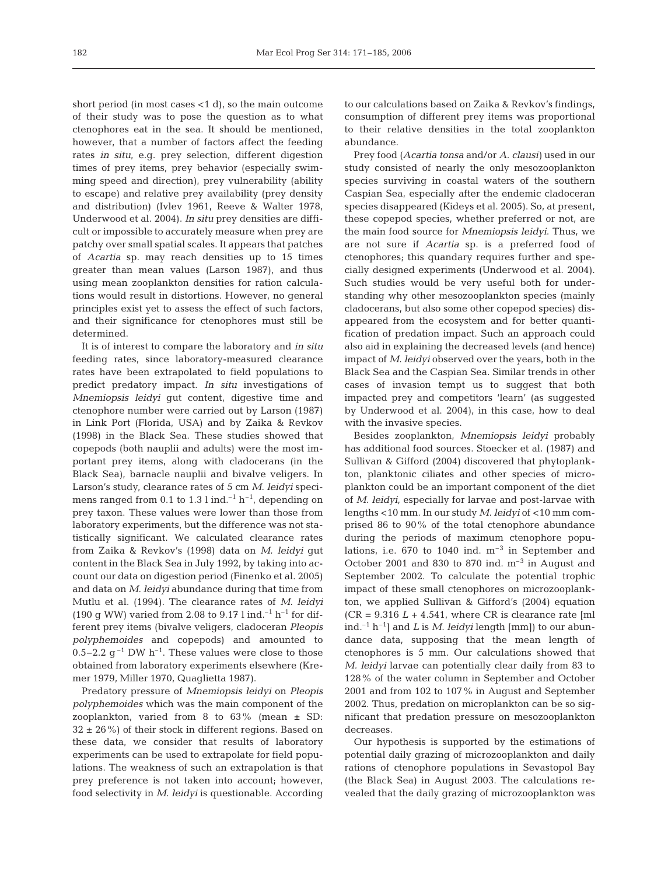short period (in most cases <1 d), so the main outcome of their study was to pose the question as to what ctenophores eat in the sea. It should be mentioned, however, that a number of factors affect the feeding rates *in situ*, e.g. prey selection, different digestion times of prey items, prey behavior (especially swimming speed and direction), prey vulnerability (ability to escape) and relative prey availability (prey density and distribution) (Ivlev 1961, Reeve & Walter 1978, Underwood et al. 2004). *In situ* prey densities are difficult or impossible to accurately measure when prey are patchy over small spatial scales. It appears that patches of *Acartia* sp. may reach densities up to 15 times greater than mean values (Larson 1987), and thus using mean zooplankton densities for ration calculations would result in distortions. However, no general principles exist yet to assess the effect of such factors, and their significance for ctenophores must still be determined.

It is of interest to compare the laboratory and *in situ* feeding rates, since laboratory-measured clearance rates have been extrapolated to field populations to predict predatory impact. *In situ* investigations of *Mnemiopsis leidyi* gut content, digestive time and ctenophore number were carried out by Larson (1987) in Link Port (Florida, USA) and by Zaika & Revkov (1998) in the Black Sea. These studies showed that copepods (both nauplii and adults) were the most important prey items, along with cladocerans (in the Black Sea), barnacle nauplii and bivalve veligers. In Larson's study, clearance rates of 5 cm *M. leidyi* specimens ranged from 0.1 to 1.3 l ind.<sup>-1</sup> h<sup>-1</sup>, depending on prey taxon. These values were lower than those from laboratory experiments, but the difference was not statistically significant. We calculated clearance rates from Zaika & Revkov's (1998) data on *M. leidyi* gut content in the Black Sea in July 1992, by taking into account our data on digestion period (Finenko et al. 2005) and data on *M. leidyi* abundance during that time from Mutlu et al. (1994). The clearance rates of *M. leidyi* (190 g WW) varied from 2.08 to 9.17 l ind.<sup>-1</sup> h<sup>-1</sup> for different prey items (bivalve veligers, cladoceran *Pleopis polyphemoides* and copepods) and amounted to 0.5–2.2  $q^{-1}$  DW h<sup>-1</sup>. These values were close to those obtained from laboratory experiments elsewhere (Kremer 1979, Miller 1970, Quaglietta 1987).

Predatory pressure of *Mnemiopsis leidyi* on *Pleopis polyphemoides* which was the main component of the zooplankton, varied from 8 to  $63\%$  (mean  $\pm$  SD:  $32 \pm 26$ %) of their stock in different regions. Based on these data, we consider that results of laboratory experiments can be used to extrapolate for field populations. The weakness of such an extrapolation is that prey preference is not taken into account; however, food selectivity in *M. leidyi* is questionable. According

to our calculations based on Zaika & Revkov's findings, consumption of different prey items was proportional to their relative densities in the total zooplankton abundance.

Prey food (*Acartia tonsa* and/or *A. clausi)* used in our study consisted of nearly the only mesozooplankton species surviving in coastal waters of the southern Caspian Sea, especially after the endemic cladoceran species disappeared (Kideys et al. 2005). So, at present, these copepod species, whether preferred or not, are the main food source for *Mnemiopsis leidyi*. Thus, we are not sure if *Acartia* sp. is a preferred food of ctenophores; this quandary requires further and specially designed experiments (Underwood et al. 2004). Such studies would be very useful both for understanding why other mesozooplankton species (mainly cladocerans, but also some other copepod species) disappeared from the ecosystem and for better quantification of predation impact. Such an approach could also aid in explaining the decreased levels (and hence) impact of *M. leidyi* observed over the years, both in the Black Sea and the Caspian Sea. Similar trends in other cases of invasion tempt us to suggest that both impacted prey and competitors 'learn' (as suggested by Underwood et al. 2004), in this case, how to deal with the invasive species.

Besides zooplankton, *Mnemiopsis leidyi* probably has additional food sources. Stoecker et al. (1987) and Sullivan & Gifford (2004) discovered that phytoplankton, planktonic ciliates and other species of microplankton could be an important component of the diet of *M. leidyi*, especially for larvae and post-larvae with lengths <10 mm. In our study *M. leidyi* of <10 mm comprised 86 to 90% of the total ctenophore abundance during the periods of maximum ctenophore populations, i.e.  $670$  to  $1040$  ind.  $m^{-3}$  in September and October 2001 and 830 to 870 ind.  $m^{-3}$  in August and September 2002. To calculate the potential trophic impact of these small ctenophores on microzooplankton, we applied Sullivan & Gifford's (2004) equation  $(CR = 9.316 L + 4.541$ , where CR is clearance rate [ml] ind.–1 h–1] and *L* is *M. leidyi* length [mm]) to our abundance data, supposing that the mean length of ctenophores is 5 mm. Our calculations showed that *M. leidyi* larvae can potentially clear daily from 83 to 128% of the water column in September and October 2001 and from 102 to 107% in August and September 2002. Thus, predation on microplankton can be so significant that predation pressure on mesozooplankton decreases.

Our hypothesis is supported by the estimations of potential daily grazing of microzooplankton and daily rations of ctenophore populations in Sevastopol Bay (the Black Sea) in August 2003. The calculations revealed that the daily grazing of microzooplankton was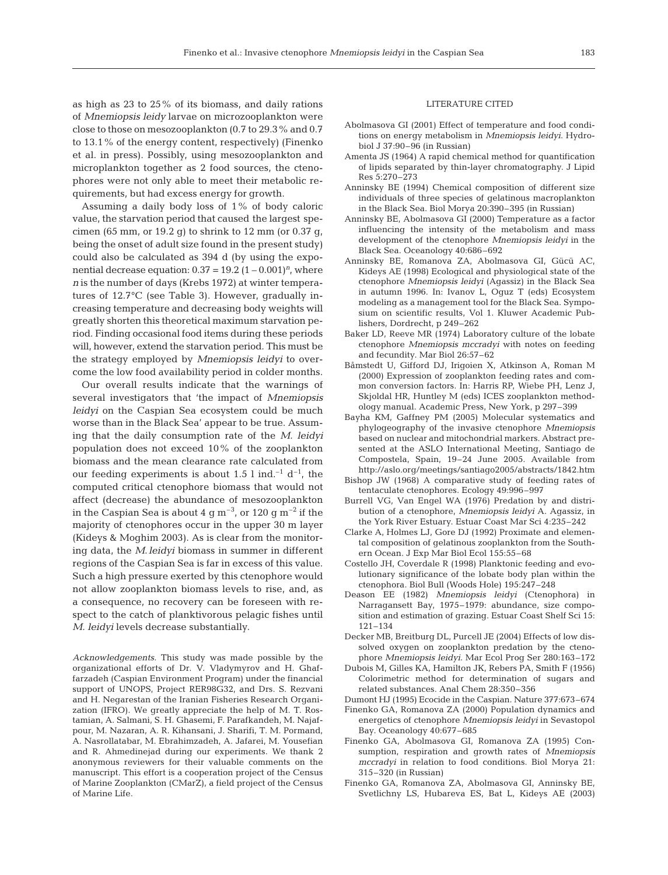as high as 23 to 25% of its biomass, and daily rations of *Mnemiopsis leidy* larvae on microzooplankton were close to those on mesozooplankton (0.7 to 29.3% and 0.7 to 13.1% of the energy content, respectively) (Finenko et al. in press). Possibly, using mesozooplankton and microplankton together as 2 food sources, the ctenophores were not only able to meet their metabolic requirements, but had excess energy for growth.

Assuming a daily body loss of 1% of body caloric value, the starvation period that caused the largest specimen (65 mm, or 19.2 g) to shrink to 12 mm (or 0.37 g, being the onset of adult size found in the present study) could also be calculated as 394 d (by using the exponential decrease equation:  $0.37 = 19.2 (1 - 0.001)^n$ , where *n* is the number of days (Krebs 1972) at winter temperatures of 12.7°C (see Table 3). However, gradually increasing temperature and decreasing body weights will greatly shorten this theoretical maximum starvation period. Finding occasional food items during these periods will, however, extend the starvation period. This must be the strategy employed by *Mnemiopsis leidyi* to overcome the low food availability period in colder months.

Our overall results indicate that the warnings of several investigators that 'the impact of *Mnemiopsis leidyi* on the Caspian Sea ecosystem could be much worse than in the Black Sea' appear to be true. Assuming that the daily consumption rate of the *M. leidyi* population does not exceed 10% of the zooplankton biomass and the mean clearance rate calculated from our feeding experiments is about 1.5 l ind.<sup>-1</sup> d<sup>-1</sup>, the computed critical ctenophore biomass that would not affect (decrease) the abundance of mesozooplankton in the Caspian Sea is about 4 g  $\text{m}^{-3}$ , or 120 g  $\text{m}^{-2}$  if the majority of ctenophores occur in the upper 30 m layer (Kideys & Moghim 2003). As is clear from the monitoring data, the *M*.*leidyi* biomass in summer in different regions of the Caspian Sea is far in excess of this value. Such a high pressure exerted by this ctenophore would not allow zooplankton biomass levels to rise, and, as a consequence, no recovery can be foreseen with respect to the catch of planktivorous pelagic fishes until *M. leidyi* levels decrease substantially.

*Acknowledgements.* This study was made possible by the organizational efforts of Dr. V. Vladymyrov and H. Ghaffarzadeh (Caspian Environment Program) under the financial support of UNOPS, Project RER98G32, and Drs. S. Rezvani and H. Negarestan of the Iranian Fisheries Research Organization (IFRO). We greatly appreciate the help of M. T. Rostamian, A. Salmani, S. H. Ghasemi, F. Parafkandeh, M. Najafpour, M. Nazaran, A. R. Kihansani, J. Sharifi, T. M. Pormand, A. Nasrollatabar, M. Ebrahimzadeh, A. Jafarei, M. Yousefian and R. Ahmedinejad during our experiments. We thank 2 anonymous reviewers for their valuable comments on the manuscript. This effort is a cooperation project of the Census of Marine Zooplankton (CMarZ), a field project of the Census of Marine Life.

#### LITERATURE CITED

- Abolmasova GI (2001) Effect of temperature and food conditions on energy metabolism in *Mnemiopsis leidyi*. Hydrobiol J 37:90–96 (in Russian)
- Amenta JS (1964) A rapid chemical method for quantification of lipids separated by thin-layer chromatography. J Lipid Res 5:270–273
- Anninsky BE (1994) Chemical composition of different size individuals of three species of gelatinous macroplankton in the Black Sea. Biol Morya 20:390–395 (in Russian)
- Anninsky BE, Abolmasova GI (2000) Temperature as a factor influencing the intensity of the metabolism and mass development of the ctenophore *Mnemiopsis leidyi* in the Black Sea. Oceanology 40:686–692
- Anninsky BE, Romanova ZA, Abolmasova GI, Gücü AC, Kideys AE (1998) Ecological and physiological state of the ctenophore *Mnemiopsis leidyi* (Agassiz) in the Black Sea in autumn 1996. In: Ivanov L, Oguz T (eds) Ecosystem modeling as a management tool for the Black Sea. Symposium on scientific results, Vol 1. Kluwer Academic Publishers, Dordrecht, p 249–262
- Baker LD, Reeve MR (1974) Laboratory culture of the lobate ctenophore *Mnemiopsis mccradyi* with notes on feeding and fecundity. Mar Biol 26:57–62
- Båmstedt U, Gifford DJ, Irigoien X, Atkinson A, Roman M (2000) Expression of zooplankton feeding rates and common conversion factors. In: Harris RP, Wiebe PH, Lenz J, Skjoldal HR, Huntley M (eds) ICES zooplankton methodology manual. Academic Press, New York, p 297–399
- Bayha KM, Gaffney PM (2005) Molecular systematics and phylogeography of the invasive ctenophore *Mnemiopsis* based on nuclear and mitochondrial markers. Abstract presented at the ASLO International Meeting, Santiago de Compostela, Spain, 19–24 June 2005. Available from http://aslo.org/meetings/santiago2005/abstracts/1842.htm
- Bishop JW (1968) A comparative study of feeding rates of tentaculate ctenophores. Ecology 49:996–997
- Burrell VG, Van Engel WA (1976) Predation by and distribution of a ctenophore, *Mnemiopsis leidyi* A. Agassiz, in the York River Estuary. Estuar Coast Mar Sci 4:235–242
- Clarke A, Holmes LJ, Gore DJ (1992) Proximate and elemental composition of gelatinous zooplankton from the Southern Ocean. J Exp Mar Biol Ecol 155:55–68
- Costello JH, Coverdale R (1998) Planktonic feeding and evolutionary significance of the lobate body plan within the ctenophora. Biol Bull (Woods Hole) 195:247–248
- Deason EE (1982) *Mnemiopsis leidyi* (Ctenophora) in Narragansett Bay, 1975–1979: abundance, size composition and estimation of grazing. Estuar Coast Shelf Sci 15: 121–134
- Decker MB, Breitburg DL, Purcell JE (2004) Effects of low dissolved oxygen on zooplankton predation by the ctenophore *Mnemiopsis leidyi*. Mar Ecol Prog Ser 280:163–172
- Dubois M, Gilles KA, Hamilton JK, Rebers PA, Smith F (1956) Colorimetric method for determination of sugars and related substances. Anal Chem 28:350–356
- Dumont HJ (1995) Ecocide in the Caspian. Nature 377:673–674
- Finenko GA, Romanova ZA (2000) Population dynamics and energetics of ctenophore *Mnemiopsis leidyi* in Sevastopol Bay. Oceanology 40:677–685
- Finenko GA, Abolmasova GI, Romanova ZA (1995) Consumption, respiration and growth rates of *Mnemiopsis mccradyi* in relation to food conditions. Biol Morya 21: 315–320 (in Russian)
- Finenko GA, Romanova ZA, Abolmasova GI, Anninsky BE, Svetlichny LS, Hubareva ES, Bat L, Kideys AE (2003)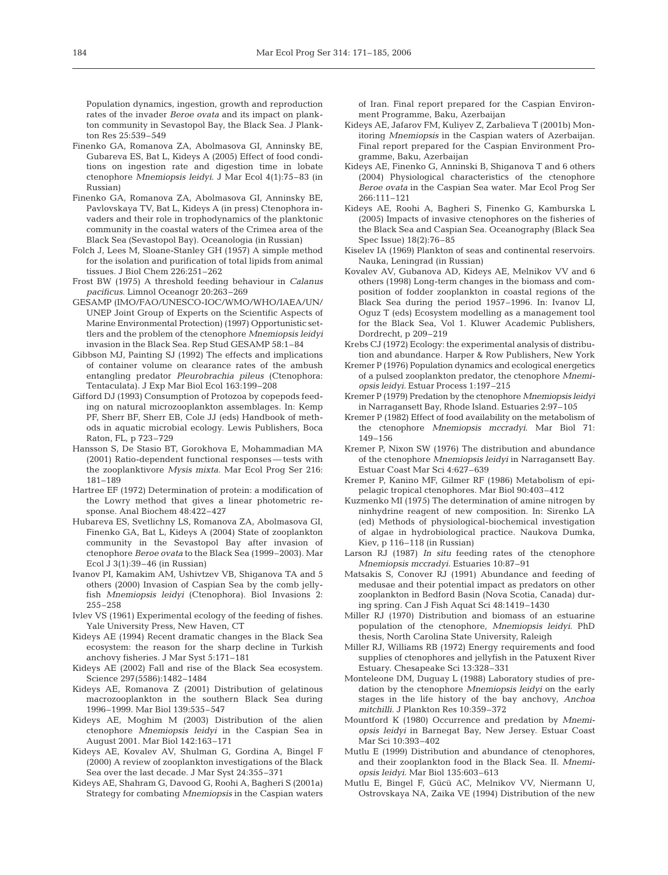Population dynamics, ingestion, growth and reproduction rates of the invader *Beroe ovata* and its impact on plankton community in Sevastopol Bay, the Black Sea. J Plankton Res 25:539–549

- Finenko GA, Romanova ZA, Abolmasova GI, Anninsky BE, Gubareva ES, Bat L, Kideys A (2005) Effect of food conditions on ingestion rate and digestion time in lobate ctenophore *Mnemiopsis leidyi*. J Mar Ecol 4(1):75–83 (in Russian)
- Finenko GA, Romanova ZA, Abolmasova GI, Anninsky BE, Pavlovskaya TV, Bat L, Kideys A (in press) Ctenophora invaders and their role in trophodynamics of the planktonic community in the coastal waters of the Crimea area of the Black Sea (Sevastopol Bay). Oceanologia (in Russian)
- Folch J, Lees M, Sloane-Stanley GH (1957) A simple method for the isolation and purification of total lipids from animal tissues. J Biol Chem 226:251–262
- Frost BW (1975) A threshold feeding behaviour in *Calanus pacificus*. Limnol Oceanogr 20:263–269
- GESAMP (IMO/FAO/UNESCO-IOC/WMO/WHO/IAEA/UN/ UNEP Joint Group of Experts on the Scientific Aspects of Marine Environmental Protection) (1997) Opportunistic settlers and the problem of the ctenophore *Mnemiopsis leidyi* invasion in the Black Sea. Rep Stud GESAMP 58:1–84
- Gibbson MJ, Painting SJ (1992) The effects and implications of container volume on clearance rates of the ambush entangling predator *Pleurobrachia pileus* (Ctenophora: Tentaculata). J Exp Mar Biol Ecol 163:199–208
- Gifford DJ (1993) Consumption of Protozoa by copepods feeding on natural microzooplankton assemblages. In: Kemp PF, Sherr BF, Sherr EB, Cole JJ (eds) Handbook of methods in aquatic microbial ecology. Lewis Publishers, Boca Raton, FL, p 723–729
- Hansson S, De Stasio BT, Gorokhova E, Mohammadian MA (2001) Ratio-dependent functional responses — tests with the zooplanktivore *Mysis mixta*. Mar Ecol Prog Ser 216: 181–189
- Hartree EF (1972) Determination of protein: a modification of the Lowry method that gives a linear photometric response. Anal Biochem 48:422–427
- Hubareva ES, Svetlichny LS, Romanova ZA, Abolmasova GI, Finenko GA, Bat L, Kideys A (2004) State of zooplankton community in the Sevastopol Bay after invasion of ctenophore *Beroe ovata* to the Black Sea (1999–2003). Mar Ecol  $\overline{J}$  3(1):39–46 (in Russian)
- Ivanov PI, Kamakim AM, Ushivtzev VB, Shiganova TA and 5 others (2000) Invasion of Caspian Sea by the comb jellyfish *Mnemiopsis leidyi* (Ctenophora). Biol Invasions 2: 255–258
- Ivlev VS (1961) Experimental ecology of the feeding of fishes. Yale University Press, New Haven, CT
- Kideys AE (1994) Recent dramatic changes in the Black Sea ecosystem: the reason for the sharp decline in Turkish anchovy fisheries. J Mar Syst 5:171–181
- Kideys AE (2002) Fall and rise of the Black Sea ecosystem. Science 297(5586):1482–1484
- Kideys AE, Romanova Z (2001) Distribution of gelatinous macrozooplankton in the southern Black Sea during 1996–1999. Mar Biol 139:535–547
- Kideys AE, Moghim M (2003) Distribution of the alien ctenophore *Mnemiopsis leidyi* in the Caspian Sea in August 2001. Mar Biol 142:163–171
- Kideys AE, Kovalev AV, Shulman G, Gordina A, Bingel F (2000) A review of zooplankton investigations of the Black Sea over the last decade. J Mar Syst 24:355–371
- Kideys AE, Shahram G, Davood G, Roohi A, Bagheri S (2001a) Strategy for combating *Mnemiopsis* in the Caspian waters

of Iran. Final report prepared for the Caspian Environment Programme, Baku, Azerbaijan

- Kideys AE, Jafarov FM, Kuliyev Z, Zarbalieva T (2001b) Monitoring *Mnemiopsis* in the Caspian waters of Azerbaijan. Final report prepared for the Caspian Environment Programme, Baku, Azerbaijan
- Kideys AE, Finenko G, Anninski B, Shiganova T and 6 others (2004) Physiological characteristics of the ctenophore *Beroe ovata* in the Caspian Sea water. Mar Ecol Prog Ser 266:111–121
- Kideys AE, Roohi A, Bagheri S, Finenko G, Kamburska L (2005) Impacts of invasive ctenophores on the fisheries of the Black Sea and Caspian Sea. Oceanography (Black Sea Spec Issue) 18(2):76–85
- Kiselev IA (1969) Plankton of seas and continental reservoirs. Nauka, Leningrad (in Russian)
- Kovalev AV, Gubanova AD, Kideys AE, Melnikov VV and 6 others (1998) Long-term changes in the biomass and composition of fodder zooplankton in coastal regions of the Black Sea during the period 1957–1996. In: Ivanov LI, Oguz T (eds) Ecosystem modelling as a management tool for the Black Sea, Vol 1. Kluwer Academic Publishers, Dordrecht, p 209–219
- Krebs CJ (1972) Ecology: the experimental analysis of distribution and abundance. Harper & Row Publishers, New York
- Kremer P (1976) Population dynamics and ecological energetics of a pulsed zooplankton predator, the ctenophore *Mnemiopsis leidyi*. Estuar Process 1:197–215
- Kremer P (1979) Predation by the ctenophore *Mnemiopsis leidyi* in Narragansett Bay, Rhode Island. Estuaries 2:97–105
- Kremer P (1982) Effect of food availability on the metabolism of the ctenophore *Mnemiopsis mccradyi*. Mar Biol 71: 149–156
- Kremer P, Nixon SW (1976) The distribution and abundance of the ctenophore *Mnemiopsis leidyi* in Narragansett Bay. Estuar Coast Mar Sci 4:627–639
- Kremer P, Kanino MF, Gilmer RF (1986) Metabolism of epipelagic tropical ctenophores. Mar Biol 90:403–412
- Kuzmenko MI (1975) The determination of amine nitrogen by ninhydrine reagent of new composition. In: Sirenko LA (ed) Methods of physiological-biochemical investigation of algae in hydrobiological practice. Naukova Dumka, Kiev, p 116–118 (in Russian)
- Larson RJ (1987) *In situ* feeding rates of the ctenophore *Mnemiopsis mccradyi*. Estuaries 10:87–91
- Matsakis S, Conover RJ (1991) Abundance and feeding of medusae and their potential impact as predators on other zooplankton in Bedford Basin (Nova Scotia, Canada) during spring. Can J Fish Aquat Sci 48:1419–1430
- Miller RJ (1970) Distribution and biomass of an estuarine population of the ctenophore, *Mnemiopsis leidyi*. PhD thesis, North Carolina State University, Raleigh
- Miller RJ, Williams RB (1972) Energy requirements and food supplies of ctenophores and jellyfish in the Patuxent River Estuary. Chesapeake Sci 13:328–331
- Monteleone DM, Duguay L (1988) Laboratory studies of predation by the ctenophore *Mnemiopsis leidyi* on the early stages in the life history of the bay anchovy, *Anchoa mitchilli*. J Plankton Res 10:359–372
- Mountford K (1980) Occurrence and predation by *Mnemiopsis leidyi* in Barnegat Bay, New Jersey. Estuar Coast Mar Sci 10:393–402
- Mutlu E (1999) Distribution and abundance of ctenophores, and their zooplankton food in the Black Sea. II. *Mnemiopsis leidyi*. Mar Biol 135:603–613
- Mutlu E, Bingel F, Gücü AC, Melnikov VV, Niermann U, Ostrovskaya NA, Zaika VE (1994) Distribution of the new